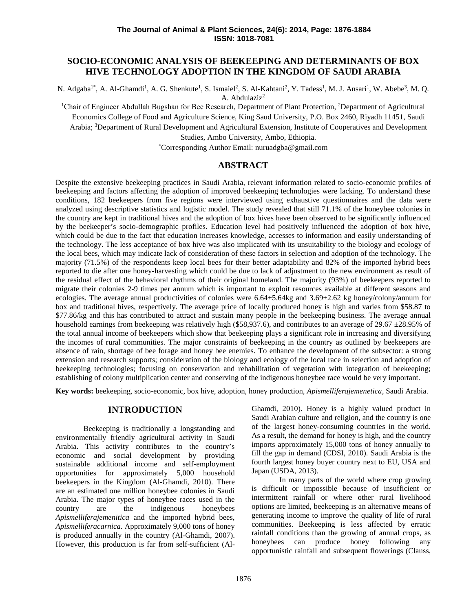# **SOCIO-ECONOMIC ANALYSIS OF BEEKEEPING AND DETERMINANTS OF BOX HIVE TECHNOLOGY ADOPTION IN THE KINGDOM OF SAUDI ARABIA**

N. Adgaba<sup>1\*</sup>, A. Al-Ghamdi<sup>1</sup>, A. G. Shenkute<sup>1</sup>, S. Ismaiel<sup>2</sup>, S. Al-Kahtani<sup>2</sup>, Y. Tadess<sup>1</sup>, M. J. Ansari<sup>1</sup>, W. Abebe<sup>3</sup>, M. Q. A. Abdulaziz<sup>2</sup>

<sup>1</sup>Chair of Engineer Abdullah Bugshan for Bee Research, Department of Plant Protection, <sup>2</sup>Department of Agricultural Economics College of Food and Agriculture Science, King Saud University, P.O. Box 2460, Riyadh 11451, Saudi Arabia; <sup>3</sup>Department of Rural Development and Agricultural Extension, Institute of Cooperatives and Development Studies, Ambo University, Ambo, Ethiopia.

\*Corresponding Author Email: nuruadgba@gmail.com

## **ABSTRACT**

Despite the extensive beekeeping practices in Saudi Arabia, relevant information related to socio-economic profiles of beekeeping and factors affecting the adoption of improved beekeeping technologies were lacking. To understand these conditions, 182 beekeepers from five regions were interviewed using exhaustive questionnaires and the data were analyzed using descriptive statistics and logistic model. The study revealed that still 71.1% of the honeybee colonies in the country are kept in traditional hives and the adoption of box hives have been observed to be significantly influenced by the beekeeper's socio-demographic profiles. Education level had positively influenced the adoption of box hive, which could be due to the fact that education increases knowledge, accesses to information and easily understanding of the technology. The less acceptance of box hive was also implicated with its unsuitability to the biology and ecology of the local bees, which may indicate lack of consideration of these factors in selection and adoption of the technology. The majority (71.5%) of the respondents keep local bees for their better adaptability and 82% of the imported hybrid bees reported to die after one honey-harvesting which could be due to lack of adjustment to the new environment as result of the residual effect of the behavioral rhythms of their original homeland. The majority (93%) of beekeepers reported to migrate their colonies 2-9 times per annum which is important to exploit resources available at different seasons and ecologies. The average annual productivities of colonies were  $6.64\pm5.64$ kg and  $3.69\pm2.62$  kg honey/colony/annum for box and traditional hives, respectively. The average price of locally produced honey is high and varies from \$58.87 to \$77.86/kg and this has contributed to attract and sustain many people in the beekeeping business. The average annual household earnings from beekeeping was relatively high (\$58,937.6), and contributes to an average of 29.67  $\pm$ 28.95% of the total annual income of beekeepers which show that beekeeping plays a significant role in increasing and diversifying the incomes of rural communities. The major constraints of beekeeping in the country as outlined by beekeepers are absence of rain, shortage of bee forage and honey bee enemies. To enhance the development of the subsector: a strong extension and research supports; consideration of the biology and ecology of the local race in selection and adoption of beekeeping technologies; focusing on conservation and rehabilitation of vegetation with integration of beekeeping; establishing of colony multiplication center and conserving of the indigenous honeybee race would be very important.

**Key words:** beekeeping, socio-economic, box hive, adoption, honey production, *Apismelliferajemenetica*, Saudi Arabia.

#### **INTRODUCTION**

Beekeeping is traditionally a longstanding and environmentally friendly agricultural activity in Saudi Arabia. This activity contributes to the country's economic and social development by providing sustainable additional income and self-employment opportunities for approximately 5,000 household beekeepers in the Kingdom (Al-Ghamdi, 2010). There are an estimated one million honeybee colonies in Saudi Arabia. The major types of honeybee races used in the country are the indigenous honeybees *Apismelliferajemenitica* and the imported hybrid bees, *Apismelliferacarnica*. Approximately 9,000 tons of honey is produced annually in the country (Al-Ghamdi, 2007). However, this production is far from self-sufficient (Al-

Ghamdi, 2010). Honey is a highly valued product in Saudi Arabian culture and religion, and the country is one of the largest honey-consuming countries in the world. As a result, the demand for honey is high, and the country imports approximately 15,000 tons of honey annually to fill the gap in demand (CDSI, 2010). Saudi Arabia is the fourth largest honey buyer country next to EU, USA and Japan (USDA, 2013).

In many parts of the world where crop growing is difficult or impossible because of insufficient or intermittent rainfall or where other rural livelihood options are limited, beekeeping is an alternative means of generating income to improve the quality of life of rural communities. Beekeeping is less affected by erratic rainfall conditions than the growing of annual crops, as honeybees can produce honey following any opportunistic rainfall and subsequent flowerings (Clauss,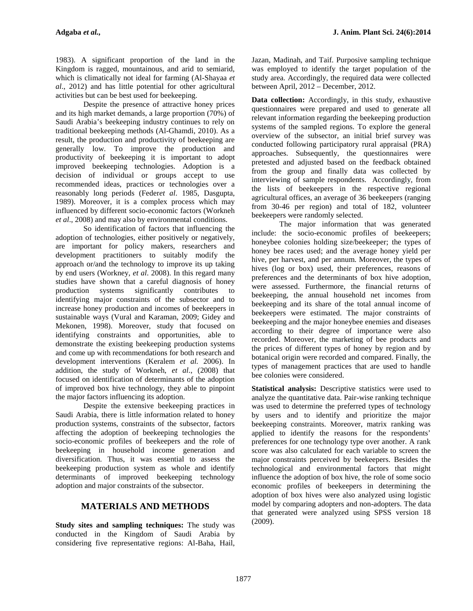1983). A significant proportion of the land in the Kingdom is ragged, mountainous, and arid to semiarid, which is climatically not ideal for farming (Al-Shayaa *et al*., 2012) and has little potential for other agricultural activities but can be best used for beekeeping.

Despite the presence of attractive honey prices and its high market demands, a large proportion (70%) of Saudi Arabia's beekeeping industry continues to rely on traditional beekeeping methods (Al-Ghamdi, 2010). As a result, the production and productivity of beekeeping are generally low. To improve the production and productivity of beekeeping it is important to adopt improved beekeeping technologies. Adoption is a decision of individual or groups accept to use recommended ideas, practices or technologies over a reasonably long periods (Feder*et al*. 1985, Dasgupta, 1989). Moreover, it is a complex process which may influenced by different socio-economic factors (Workneh *et al*., 2008) and may also by environmental conditions.

So identification of factors that influencing the adoption of technologies, either positively or negatively, are important for policy makers, researchers and development practitioners to suitably modify the approach or/and the technology to improve its up taking by end users (Workney, *et al*. 2008). In this regard many studies have shown that a careful diagnosis of honey production systems significantly contributes to identifying major constraints of the subsector and to increase honey production and incomes of beekeepers in sustainable ways (Vural and Karaman, 2009; Gidey and Mekonen, 1998). Moreover, study that focused on identifying constraints and opportunities, able to demonstrate the existing beekeeping production systems and come up with recommendations for both research and development interventions (Keralem *et al.* 2006). In addition, the study of Workneh, *et al*., (2008) that focused on identification of determinants of the adoption of improved box hive technology, they able to pinpoint the major factors influencing its adoption.

Despite the extensive beekeeping practices in Saudi Arabia, there is little information related to honey production systems, constraints of the subsector, factors affecting the adoption of beekeeping technologies the socio-economic profiles of beekeepers and the role of beekeeping in household income generation and diversification. Thus, it was essential to assess the beekeeping production system as whole and identify determinants of improved beekeeping technology adoption and major constraints of the subsector.

### **MATERIALS AND METHODS**

**Study sites and sampling techniques:** The study was conducted in the Kingdom of Saudi Arabia by considering five representative regions: Al-Baha, Hail, Jazan, Madinah, and Taif. Purposive sampling technique was employed to identify the target population of the study area. Accordingly, the required data were collected between April, 2012 – December, 2012.

**Data collection:** Accordingly, in this study, exhaustive questionnaires were prepared and used to generate all relevant information regarding the beekeeping production systems of the sampled regions. To explore the general overview of the subsector, an initial brief survey was conducted following participatory rural appraisal (PRA) approaches. Subsequently, the questionnaires were pretested and adjusted based on the feedback obtained from the group and finally data was collected by interviewing of sample respondents. Accordingly, from the lists of beekeepers in the respective regional agricultural offices, an average of 36 beekeepers (ranging from 30-46 per region) and total of 182, volunteer beekeepers were randomly selected.

The major information that was generated include: the socio-economic profiles of beekeepers; honeybee colonies holding size/beekeeper; the types of honey bee races used; and the average honey yield per hive, per harvest, and per annum. Moreover, the types of hives (log or box) used, their preferences, reasons of preferences and the determinants of box hive adoption, were assessed. Furthermore, the financial returns of beekeeping, the annual household net incomes from beekeeping and its share of the total annual income of beekeepers were estimated. The major constraints of beekeeping and the major honeybee enemies and diseases according to their degree of importance were also recorded. Moreover, the marketing of bee products and the prices of different types of honey by region and by botanical origin were recorded and compared. Finally, the types of management practices that are used to handle bee colonies were considered.

**Statistical analysis:** Descriptive statistics were used to analyze the quantitative data. Pair-wise ranking technique was used to determine the preferred types of technology by users and to identify and prioritize the major beekeeping constraints. Moreover, matrix ranking was applied to identify the reasons for the respondents' preferences for one technology type over another. A rank score was also calculated for each variable to screen the major constraints perceived by beekeepers. Besides the technological and environmental factors that might influence the adoption of box hive, the role of some socio economic profiles of beekeepers in determining the adoption of box hives were also analyzed using logistic model by comparing adopters and non-adopters. The data that generated were analyzed using SPSS version 18 (2009).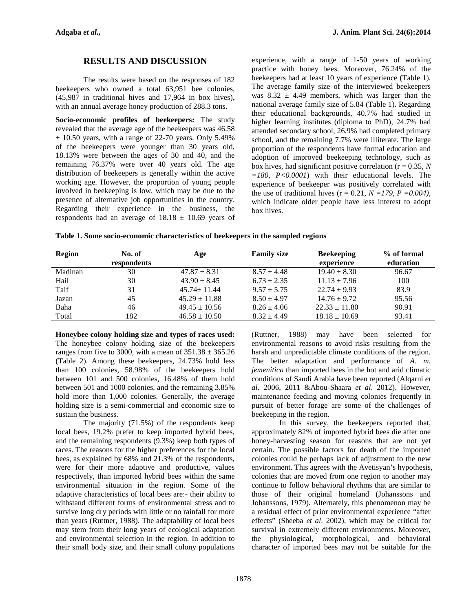### **RESULTS AND DISCUSSION**

The results were based on the responses of 182 beekeepers who owned a total 63,951 bee colonies, (45,987 in traditional hives and 17,964 in box hives), with an annual average honey production of 288.3 tons.

**Socio-economic profiles of beekeepers:** The study revealed that the average age of the beekeepers was 46.58  $\pm$  10.50 years, with a range of 22-70 years. Only 5.49% of the beekeepers were younger than 30 years old, 18.13% were between the ages of 30 and 40, and the remaining 76.37% were over 40 years old. The age distribution of beekeepers is generally within the active working age. However, the proportion of young people involved in beekeeping is low, which may be due to the presence of alternative job opportunities in the country. Regarding their experience in the business, the respondents had an average of  $18.18 \pm 10.69$  years of

experience, with a range of 1-50 years of working practice with honey bees. Moreover, 76.24% of the beekeepers had at least 10 years of experience (Table 1). The average family size of the interviewed beekeepers was  $8.32 \pm 4.49$  members, which was larger than the national average family size of 5.84 (Table 1). Regarding their educational backgrounds, 40.7% had studied in higher learning institutes (diploma to PhD), 24.7% had attended secondary school, 26.9% had completed primary school, and the remaining 7.7% were illiterate. The large proportion of the respondents have formal education and adoption of improved beekeeping technology, such as box hives, had significant positive correlation (r = 0.35, *N =180, P<0.0001*) with their educational levels. The experience of beekeeper was positively correlated with the use of traditional hives  $(r = 0.21, N = 179, P = 0.004)$ , which indicate older people have less interest to adopt box hives.

| Table 1. Some socio-economic characteristics of beekeepers in the sampled regions |  |  |
|-----------------------------------------------------------------------------------|--|--|
|                                                                                   |  |  |

| <b>Region</b> | No. of<br>respondents | Age               | <b>Family size</b> | <b>Beekeeping</b><br>experience | % of formal<br>education |
|---------------|-----------------------|-------------------|--------------------|---------------------------------|--------------------------|
| Madinah       | 30                    | $47.87 \pm 8.31$  | $8.57 \pm 4.48$    | $19.40 \pm 8.30$                | 96.67                    |
| Hail          | 30                    | $43.90 \pm 8.45$  | $6.73 \pm 2.35$    | $11.13 \pm 7.96$                | 100                      |
| Taif          | 31                    | $45.74 \pm 11.44$ | $9.57 \pm 5.75$    | $22.74 \pm 9.93$                | 83.9                     |
| Jazan         | 45                    | $45.29 \pm 11.88$ | $8.50 \pm 4.97$    | $14.76 \pm 9.72$                | 95.56                    |
| Baha          | 46                    | $49.45 \pm 10.56$ | $8.26 \pm 4.06$    | $22.33 \pm 11.80$               | 90.91                    |
| Total         | 182                   | $46.58 \pm 10.50$ | $8.32 \pm 4.49$    | $18.18 \pm 10.69$               | 93.41                    |

**Honeybee colony holding size and types of races used:** The honeybee colony holding size of the beekeepers ranges from five to 3000, with a mean of  $351.38 \pm 365.26$ (Table 2). Among these beekeepers, 24.73% hold less than 100 colonies, 58.98% of the beekeepers hold between 101 and 500 colonies, 16.48% of them hold between 501 and 1000 colonies, and the remaining 3.85% hold more than 1,000 colonies. Generally, the average holding size is a semi-commercial and economic size to sustain the business.

The majority (71.5%) of the respondents keep local bees, 19.2% prefer to keep imported hybrid bees, and the remaining respondents (9.3%) keep both types of races. The reasons for the higher preferences for the local bees, as explained by 68% and 21.3% of the respondents, were for their more adaptive and productive, values respectively, than imported hybrid bees within the same environmental situation in the region. Some of the adaptive characteristics of local bees are:- their ability to withstand different forms of environmental stress and to survive long dry periods with little or no rainfall for more than years (Ruttner, 1988). The adaptability of local bees may stem from their long years of ecological adaptation and environmental selection in the region. In addition to their small body size, and their small colony populations

1988) may have been selected for environmental reasons to avoid risks resulting from the harsh and unpredictable climate conditions of the region. The better adaptation and performance of *A. m. jemenitica* than imported bees in the hot and arid climatic conditions of Saudi Arabia have been reported (Alqarni *et al*. 2006, 2011 &Abou-Shaara *et al*. 2012). However, maintenance feeding and moving colonies frequently in pursuit of better forage are some of the challenges of beekeeping in the region.

In this survey, the beekeepers reported that, approximately 82% of imported hybrid bees die after one honey-harvesting season for reasons that are not yet certain. The possible factors for death of the imported colonies could be perhaps lack of adjustment to the new environment. This agrees with the Avetisyan's hypothesis, colonies that are moved from one region to another may continue to follow behavioral rhythms that are similar to those of their original homeland (Johanssons and Johanssons, 1979). Alternately, this phenomenon may be a residual effect of prior environmental experience "after effects" (Sheeba *et al*. 2002), which may be critical for survival in extremely different environments. Moreover, the physiological, morphological, and behavioral character of imported bees may not be suitable for the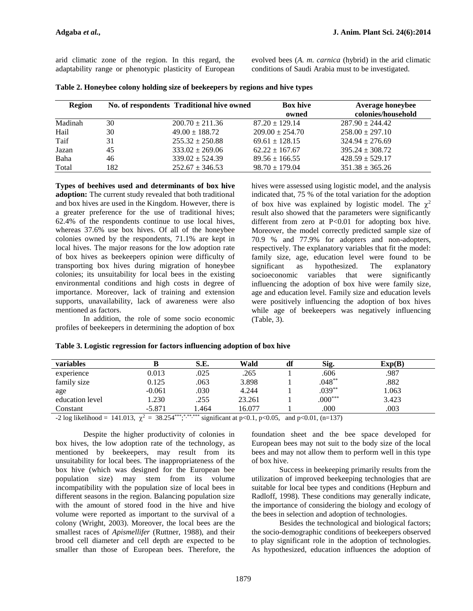arid climatic zone of the region. In this regard, the adaptability range or phenotypic plasticity of European

evolved bees (*A. m. carnica* (hybrid) in the arid climatic conditions of Saudi Arabia must to be investigated.

| <b>Region</b> |     | No. of respondents Traditional hive owned | <b>Box hive</b><br>owned | <b>Average honeybee</b><br>colonies/household |
|---------------|-----|-------------------------------------------|--------------------------|-----------------------------------------------|
| Madinah       | 30  | $200.70 \pm 211.36$                       | $87.20 \pm 129.14$       | $287.90 \pm 244.42$                           |
| Hail          | 30  | $49.00 \pm 188.72$                        | $209.00 \pm 254.70$      | $258.00 \pm 297.10$                           |
| Taif          | 31  | $255.32 \pm 250.88$                       | $69.61 \pm 128.15$       | $324.94 \pm 276.69$                           |
| Jazan         | 45  | $333.02 + 269.06$                         | $62.22 \pm 167.67$       | $395.24 \pm 308.72$                           |
| Baha          | 46  | $339.02 + 524.39$                         | $89.56 \pm 166.55$       | $428.59 + 529.17$                             |
| Total         | 182 | $252.67 \pm 346.53$                       | $98.70 \pm 179.04$       | $351.38 \pm 365.26$                           |

**Table 2. Honeybee colony holding size of beekeepers by regions and hive types**

**Types of beehives used and determinants of box hive adoption:** The current study revealed that both traditional and box hives are used in the Kingdom. However, there is a greater preference for the use of traditional hives; 62.4% of the respondents continue to use local hives, whereas 37.6% use box hives. Of all of the honeybee colonies owned by the respondents, 71.1% are kept in local hives. The major reasons for the low adoption rate of box hives as beekeepers opinion were difficulty of transporting box hives during migration of honeybee colonies; its unsuitability for local bees in the existing environmental conditions and high costs in degree of importance. Moreover, lack of training and extension supports, unavailability, lack of awareness were also mentioned as factors.

In addition, the role of some socio economic profiles of beekeepers in determining the adoption of box

hives were assessed using logistic model, and the analysis indicated that, 75 % of the total variation for the adoption of box hive was explained by logistic model. The  $\chi^2$ result also showed that the parameters were significantly different from zero at  $P<0.01$  for adopting box hive. Moreover, the model correctly predicted sample size of 70.9 % and 77.9% for adopters and non-adopters, respectively. The explanatory variables that fit the model: family size, age, education level were found to be as hypothesized. The explanatory socioeconomic variables that were significantly influencing the adoption of box hive were family size, age and education level. Family size and education levels were positively influencing the adoption of box hives while age of beekeepers was negatively influencing (Table, 3).

| variables       |          | S.E.                                                                                                                                                                           | Wald                                      | df | Sig.        | Exp(B) |  |
|-----------------|----------|--------------------------------------------------------------------------------------------------------------------------------------------------------------------------------|-------------------------------------------|----|-------------|--------|--|
| experience      | 0.013    | .025                                                                                                                                                                           | .265                                      |    | .606        | .987   |  |
| family size     | 0.125    | .063                                                                                                                                                                           | 3.898                                     |    | $.048**$    | .882   |  |
| age             | $-0.061$ | .030                                                                                                                                                                           | 4.244                                     |    | $.039**$    | 1.063  |  |
| education level | 1.230    | .255                                                                                                                                                                           | 23.261                                    |    | $.000***$   | 3.423  |  |
| Constant        | $-5.871$ | .464                                                                                                                                                                           | 16.077                                    |    | .000        | .003   |  |
| 21.11111        | 111012   | $\bigcap_{n=1}^{\infty}$ $\bigcap_{n=1}^{\infty}$ $\bigcup_{n=1}^{\infty}$ $\bigcup_{n=1}^{\infty}$ $\bigcup_{n=1}^{\infty}$ $\bigcup_{n=1}^{\infty}$ $\bigcup_{n=1}^{\infty}$ | $\sim$ $\sim$ $\sim$ $\sim$ $\sim$ $\sim$ |    | 10T<br>0.01 |        |  |

|  |  | Table 3. Logistic regression for factors influencing adoption of box hive |  |
|--|--|---------------------------------------------------------------------------|--|
|  |  |                                                                           |  |

-2 log likelihood = 141.013,  $\chi^2 = 38.254^{***}$ ;\*,\*\*\*\*\*\* significant at p<0.1, p<0.05, and p<0.01, (n=137)

Despite the higher productivity of colonies in box hives, the low adoption rate of the technology, as mentioned by beekeepers, may result from its unsuitability for local bees. The inappropriateness of the box hive (which was designed for the European bee population size) may stem from its volume incompatibility with the population size of local bees in different seasons in the region. Balancing population size with the amount of stored food in the hive and hive volume were reported as important to the survival of a colony (Wright, 2003). Moreover, the local bees are the smallest races of *Apismellifer* (Ruttner, 1988), and their brood cell diameter and cell depth are expected to be smaller than those of European bees. Therefore, the

foundation sheet and the bee space developed for European bees may not suit to the body size of the local bees and may not allow them to perform well in this type of box hive.

Success in beekeeping primarily results from the utilization of improved beekeeping technologies that are suitable for local bee types and conditions (Hepburn and Radloff, 1998). These conditions may generally indicate, the importance of considering the biology and ecology of the bees in selection and adoption of technologies.

Besides the technological and biological factors; the socio-demographic conditions of beekeepers observed to play significant role in the adoption of technologies. As hypothesized, education influences the adoption of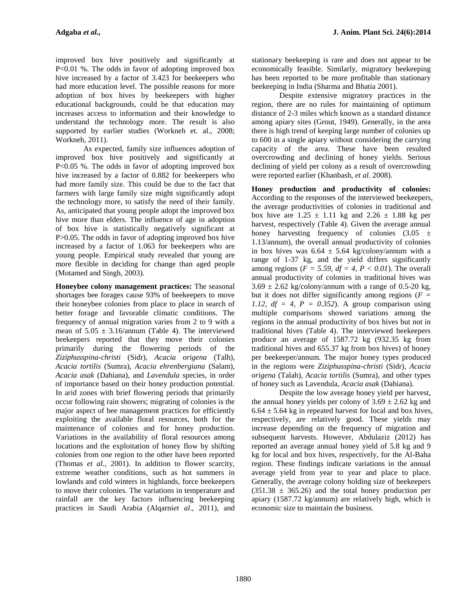improved box hive positively and significantly at P<0.01 %. The odds in favor of adopting improved box hive increased by a factor of 3.423 for beekeepers who had more education level. The possible reasons for more adoption of box hives by beekeepers with higher educational backgrounds, could be that education may increases access to information and their knowledge to understand the technology more. The result is also supported by earlier studies (Workneh et. al., 2008; Workneh, 2011).

As expected, family size influences adoption of improved box hive positively and significantly at P<0.05 %. The odds in favor of adopting improved box hive increased by a factor of 0.882 for beekeepers who had more family size. This could be due to the fact that farmers with large family size might significantly adopt the technology more, to satisfy the need of their family. As, anticipated that young people adopt the improved box hive more than elders. The influence of age in adoption of box hive is statistically negatively significant at P>0.05. The odds in favor of adopting improved box hive increased by a factor of 1.063 for beekeepers who are young people. Empirical study revealed that young are more flexible in deciding for change than aged people (Motamed and Singh, 2003).

**Honeybee colony management practices:** The seasonal shortages bee forages cause 93% of beekeepers to move their honeybee colonies from place to place in search of better forage and favorable climatic conditions. The frequency of annual migration varies from 2 to 9 with a mean of  $5.05 \pm 3.16$ /annum (Table 4). The interviewed beekeepers reported that they move their colonies primarily during the flowering periods of the *Ziziphusspina-christi* (Sidr), *Acacia origena* (Talh), *Acacia tortilis* (Sumra), *Acacia ehrenbergiana* (Salam), *Acacia asak* (Dahiana), and *Lavendula* species, in order of importance based on their honey production potential. In arid zones with brief flowering periods that primarily occur following rain showers; migrating of colonies is the major aspect of bee management practices for efficiently exploiting the available floral resources, both for the maintenance of colonies and for honey production. Variations in the availability of floral resources among locations and the exploitation of honey flow by shifting colonies from one region to the other have been reported (Thomas *et al*., 2001). In addition to flower scarcity, extreme weather conditions, such as hot summers in lowlands and cold winters in highlands, force beekeepers to move their colonies. The variations in temperature and rainfall are the key factors influencing beekeeping practices in Saudi Arabia (Alqarni*et al*., 2011), and stationary beekeeping is rare and does not appear to be economically feasible. Similarly, migratory beekeeping has been reported to be more profitable than stationary beekeeping in India (Sharma and Bhatia 2001).

Despite extensive migratory practices in the region, there are no rules for maintaining of optimum distance of 2-3 miles which known as a standard distance among apiary sites (Grout, 1949). Generally, in the area there is high trend of keeping large number of colonies up to 600 in a single apiary without considering the carrying capacity of the area. These have been resulted overcrowding and declining of honey yields. Serious declining of yield per colony as a result of overcrowding were reported earlier (Khanbash, *et al*. 2008).

**Honey production and productivity of colonies:** According to the responses of the interviewed beekeepers, the average productivities of colonies in traditional and box hive are  $1.25 \pm 1.11$  kg and  $2.26 \pm 1.88$  kg per harvest, respectively (Table 4). Given the average annual honey harvesting frequency of colonies  $(3.05 \pm$ 1.13/annum), the overall annual productivity of colonies in box hives was  $6.64 \pm 5.64$  kg/colony/annum with a range of 1-37 kg, and the yield differs significantly among regions ( $F = 5.59$ ,  $df = 4$ ,  $P < 0.01$ ). The overall annual productivity of colonies in traditional hives was  $3.69 \pm 2.62$  kg/colony/annum with a range of 0.5-20 kg, but it does not differ significantly among regions (*F = 1.12,*  $df = 4$ *,*  $P = 0.352$ *.* A group comparison using multiple comparisons showed variations among the regions in the annual productivity of box hives but not in traditional hives (Table 4). The interviewed beekeepers produce an average of 1587.72 kg (932.35 kg from traditional hives and 655.37 kg from box hives) of honey per beekeeper/annum. The major honey types produced in the regions were *Ziziphusspina-christi* (Sidr), *Acacia origena* (Talah), *Acacia tortilis* (Sumra), and other types of honey such as Lavendula, *Acacia asak* (Dahiana).

Despite the low average honey yield per harvest, the annual honey yields per colony of  $3.69 \pm 2.62$  kg and  $6.64 \pm 5.64$  kg in repeated harvest for local and box hives, respectively, are relatively good. These yields may increase depending on the frequency of migration and subsequent harvests. However, Abdulaziz (2012) has reported an average annual honey yield of 5.8 kg and 9 kg for local and box hives, respectively, for the Al-Baha region. These findings indicate variations in the annual average yield from year to year and place to place. Generally, the average colony holding size of beekeepers  $(351.38 \pm 365.26)$  and the total honey production per apiary (1587.72 kg/annum) are relatively high, which is economic size to maintain the business.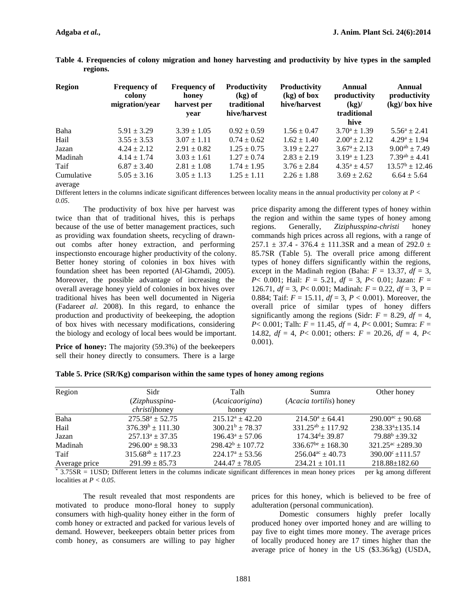| <b>Region</b>      | <b>Frequency of</b><br>colony<br>migration/year | <b>Frequency of</b><br>honey<br>harvest per<br>year | <b>Productivity</b><br>$(kg)$ of<br>traditional<br>hive/harvest | <b>Productivity</b><br>$(kg)$ of box<br>hive/harvest | Annual<br>productivity<br>(kg)<br>traditional<br>hive | Annual<br>productivity<br>$(kg)/\log hive$ |
|--------------------|-------------------------------------------------|-----------------------------------------------------|-----------------------------------------------------------------|------------------------------------------------------|-------------------------------------------------------|--------------------------------------------|
| Baha               | $5.91 \pm 3.29$                                 | $3.39 \pm 1.05$                                     | $0.92 \pm 0.59$                                                 | $1.56 \pm 0.47$                                      | $3.70^a \pm 1.39$                                     | $5.56^a \pm 2.41$                          |
| Hail               | $3.55 \pm 3.53$                                 | $3.07 \pm 1.11$                                     | $0.74 \pm 0.62$                                                 | $1.62 \pm 1.40$                                      | $2.00^a \pm 2.12$                                     | $4.29^a \pm 1.94$                          |
| Jazan              | $4.24 \pm 2.12$                                 | $2.91 \pm 0.82$                                     | $1.25 \pm 0.75$                                                 | $3.19 \pm 2.27$                                      | $3.67^a \pm 2.13$                                     | $9.00^{ab} \pm 7.49$                       |
| Madinah            | $4.14 \pm 1.74$                                 | $3.03 \pm 1.61$                                     | $1.27 \pm 0.74$                                                 | $2.83 \pm 2.19$                                      | $3.19^a \pm 1.23$                                     | $7.39^{ab} + 4.41$                         |
| Taif<br>Cumulative | $6.87 \pm 3.40$<br>$5.05 \pm 3.16$              | $2.81 \pm 1.08$<br>$3.05 \pm 1.13$                  | $1.74 \pm 1.95$<br>$1.25 \pm 1.11$                              | $3.76 \pm 2.84$<br>$2.26 \pm 1.88$                   | $4.35^a \pm 4.57$<br>$3.69 \pm 2.62$                  | $13.57^{\rm b}$ + 12.46<br>$6.64 \pm 5.64$ |

**Table 4. Frequencies of colony migration and honey harvesting and productivity by hive types in the sampled regions.**

average

Different letters in the columns indicate significant differences between locality means in the annual productivity per colony at *P < 0.05*.

The productivity of box hive per harvest was twice than that of traditional hives, this is perhaps because of the use of better management practices, such regions. as providing wax foundation sheets, recycling of drawn out combs after honey extraction, and performing inspectionsto encourage higher productivity of the colony. Better honey storing of colonies in box hives with foundation sheet has been reported (Al-Ghamdi, 2005). Moreover, the possible advantage of increasing the overall average honey yield of colonies in box hives over traditional hives has been well documented in Nigeria (Fadare*et al*. 2008). In this regard, to enhance the production and productivity of beekeeping, the adoption of box hives with necessary modifications, considering the biology and ecology of local bees would be important.

Price of honey: The majority (59.3%) of the beekeepers sell their honey directly to consumers. There is a large

price disparity among the different types of honey within the region and within the same types of honey among Generally, *Ziziphusspina-christi* honey commands high prices across all regions, with a range of 257.1  $\pm$  37.4 - 376.4  $\pm$  111.3SR and a mean of 292.0  $\pm$ 85.7SR (Table 5). The overall price among different types of honey differs significantly within the regions, except in the Madinah region (Baha:  $F = 13.37$ ,  $df = 3$ , *P*< 0.001; Hail: *F* = 5.21, *df* = 3, *P*< 0.01; Jazan: *F* = 126.71, *df* = 3, *P*< 0.001; Madinah: *F* = 0.22, *df* = 3, P = 0.884; Taif: *F* = 15.11, *df* = 3, *P* < 0.001). Moreover, the overall price of similar types of honey differs significantly among the regions (Sidr:  $F = 8.29$ ,  $df = 4$ , *P*< 0.001; Talh: *F* = 11.45, *df* = 4, *P*< 0.001; Sumra: *F* = 14.82,  $df = 4$ ,  $P < 0.001$ ; others:  $F = 20.26$ ,  $df = 4$ ,  $P <$ 0.001).

|  |  |  |  |  |  | Table 5. Price (SR/Kg) comparison within the same types of honey among regions |  |
|--|--|--|--|--|--|--------------------------------------------------------------------------------|--|
|--|--|--|--|--|--|--------------------------------------------------------------------------------|--|

| Region        | Sidr                     | Talh                  | Sumra                            | Other honey                    |
|---------------|--------------------------|-----------------------|----------------------------------|--------------------------------|
|               | (Zizphusspina-           | (Acaicaorigina)       | ( <i>Acacia tortilis</i> ) honey |                                |
|               | <i>christi</i> )honey    | honey                 |                                  |                                |
| Baha          | $275.58^a \pm 52.75$     | $215.12^a \pm 42.20$  | $214.50^a + 64.41$               | $290.00^{\text{ac}} \pm 90.68$ |
| Hail          | $376.39^b \pm 111.30$    | $300.21^b \pm 78.37$  | $331.25^{ab} \pm 117.92$         | $238.33^{a}+135.14$            |
| Jazan         | $257.13^a \pm 37.35$     | $196.43^a \pm 57.06$  | $174.34^{\text{d}}$ + 39.87      | $79.88^b \pm 39.32$            |
| Madinah       | $296.00^a + 98.33$       | $298.42^b \pm 107.72$ | $336.67^{be}$ + 168.30           | $321.25^{\text{ac}} + 289.30$  |
| Taif          | $315.68^{ab} \pm 117.23$ | $224.17^a + 53.56$    | $256.04^{\text{ac}} + 40.73$     | $390.00^{\circ}$ ± 111.57      |
| Average price | $291.99 \pm 85.73$       | $244.47 \pm 78.05$    | $234.21 \pm 101.11$              | $218.88 \pm 182.60$            |

\* 3.75SR = 1USD; Different letters in the columns indicate significant differences in mean honey prices per kg among different localities at *P < 0.05*.

The result revealed that most respondents are motivated to produce mono-floral honey to supply consumers with high-quality honey either in the form of comb honey or extracted and packed for various levels of demand. However, beekeepers obtain better prices from comb honey, as consumers are willing to pay higher prices for this honey, which is believed to be free of adulteration (personal communication).

Domestic consumers highly prefer locally produced honey over imported honey and are willing to pay five to eight times more money. The average prices of locally produced honey are 17 times higher than the average price of honey in the US (\$3.36/kg) (USDA,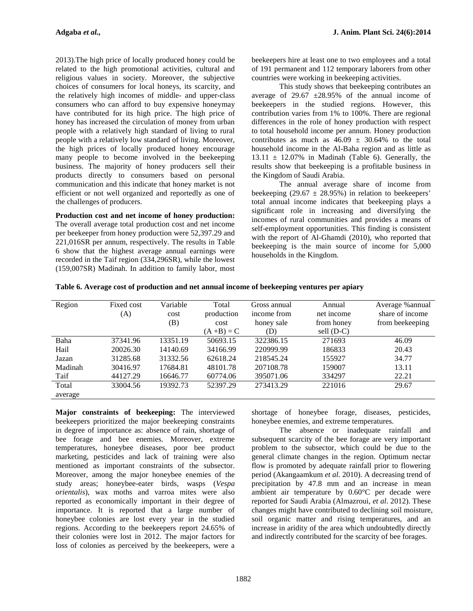2013).The high price of locally produced honey could be related to the high promotional activities, cultural and religious values in society. Moreover, the subjective choices of consumers for local honeys, its scarcity, and the relatively high incomes of middle- and upper-class consumers who can afford to buy expensive honeymay have contributed for its high price. The high price of honey has increased the circulation of money from urban people with a relatively high standard of living to rural people with a relatively low standard of living. Moreover, the high prices of locally produced honey encourage many people to become involved in the beekeeping business. The majority of honey producers sell their products directly to consumers based on personal communication and this indicate that honey market is not efficient or not well organized and reportedly as one of the challenges of producers.

**Production cost and net income of honey production:** The overall average total production cost and net income per beekeeper from honey production were 52,397.29 and 221,016SR per annum, respectively. The results in Table 6 show that the highest average annual earnings were recorded in the Taif region (334,296SR), while the lowest (159,007SR) Madinah. In addition to family labor, most

beekeepers hire at least one to two employees and a total of 191 permanent and 112 temporary laborers from other countries were working in beekeeping activities.

This study shows that beekeeping contributes an average of 29.67  $\pm 28.95\%$  of the annual income of beekeepers in the studied regions. However, this contribution varies from 1% to 100%. There are regional differences in the role of honey production with respect to total household income per annum. Honey production contributes as much as  $46.09 \pm 30.64\%$  to the total household income in the Al-Baha region and as little as  $13.11 \pm 12.07\%$  in Madinah (Table 6). Generally, the results show that beekeeping is a profitable business in the Kingdom of Saudi Arabia.

The annual average share of income from beekeeping (29.67  $\pm$  28.95%) in relation to beekeepers' total annual income indicates that beekeeping plays a significant role in increasing and diversifying the incomes of rural communities and provides a means of self-employment opportunities. This finding is consistent with the report of Al-Ghamdi (2010), who reported that beekeeping is the main source of income for 5,000 households in the Kingdom.

| Table 6. Average cost of production and net annual income of beekeeping ventures per apiary |  |
|---------------------------------------------------------------------------------------------|--|

| Region  | Fixed cost<br>(A) | Variable<br>cost<br>(B) | Total<br>production<br>cost<br>$(A + B) = C$ | Gross annual<br>income from<br>honey sale<br>(D) | Annual<br>net income<br>from honey<br>sell (D-C) | Average % annual<br>share of income<br>from beekeeping |
|---------|-------------------|-------------------------|----------------------------------------------|--------------------------------------------------|--------------------------------------------------|--------------------------------------------------------|
| Baha    | 37341.96          | 13351.19                | 50693.15                                     | 322386.15                                        | 271693                                           | 46.09                                                  |
| Hail    | 20026.30          | 14140.69                | 34166.99                                     | 220999.99                                        | 186833                                           | 20.43                                                  |
| Jazan   | 31285.68          | 31332.56                | 62618.24                                     | 218545.24                                        | 155927                                           | 34.77                                                  |
| Madinah | 30416.97          | 17684.81                | 48101.78                                     | 207108.78                                        | 159007                                           | 13.11                                                  |
| Taif    | 44127.29          | 16646.77                | 60774.06                                     | 395071.06                                        | 334297                                           | 22.21                                                  |
| Total   | 33004.56          | 19392.73                | 52397.29                                     | 273413.29                                        | 221016                                           | 29.67                                                  |
| average |                   |                         |                                              |                                                  |                                                  |                                                        |

**Major constraints of beekeeping:** The interviewed beekeepers prioritized the major beekeeping constraints in degree of importance as: absence of rain, shortage of bee forage and bee enemies. Moreover, extreme temperatures, honeybee diseases, poor bee product marketing, pesticides and lack of training were also mentioned as important constraints of the subsector. Moreover, among the major honeybee enemies of the study areas; honeybee-eater birds, wasps (*Vespa orientalis*), wax moths and varroa mites were also reported as economically important in their degree of importance. It is reported that a large number of honeybee colonies are lost every year in the studied regions. According to the beekeepers report 24.65% of their colonies were lost in 2012. The major factors for loss of colonies as perceived by the beekeepers, were a

shortage of honeybee forage, diseases, pesticides, honeybee enemies, and extreme temperatures.

The absence or inadequate rainfall and subsequent scarcity of the bee forage are very important problem to the subsector, which could be due to the general climate changes in the region. Optimum nectar flow is promoted by adequate rainfall prior to flowering period (Akangaamkum *et al*. 2010). A decreasing trend of precipitation by 47.8 mm and an increase in mean ambient air temperature by 0.60°C per decade were reported for Saudi Arabia (Almazroui, *et al*. 2012). These changes might have contributed to declining soil moisture, soil organic matter and rising temperatures, and an increase in aridity of the area which undoubtedly directly and indirectly contributed for the scarcity of bee forages.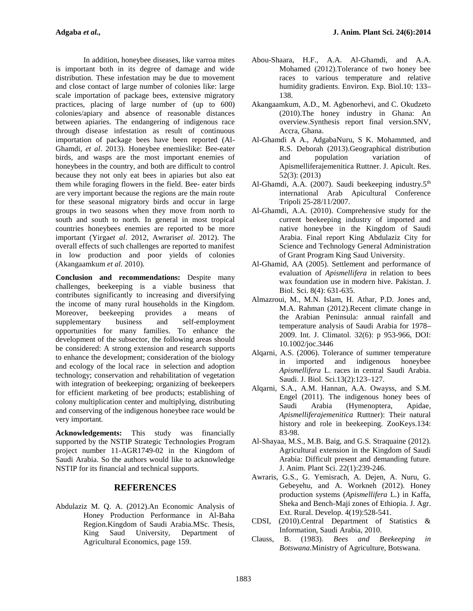In addition, honeybee diseases, like varroa mites is important both in its degree of damage and wide distribution. These infestation may be due to movement and close contact of large number of colonies like: large scale importation of package bees, extensive migratory practices, placing of large number of (up to 600) colonies/apiary and absence of reasonable distances between apiaries. The endangering of indigenous race through disease infestation as result of continuous importation of package bees have been reported (Al- Ghamdi, *et al*. 2013). Honeybee enemieslike: Bee-eater birds, and wasps are the most important enemies of honeybees in the country, and both are difficult to control because they not only eat bees in apiaries but also eat them while foraging flowers in the field. Bee- eater birds are very important because the regions are the main route for these seasonal migratory birds and occur in large groups in two seasons when they move from north to south and south to north. In general in most tropical countries honeybees enemies are reported to be more important (Yirga*et al*. 2012, Awraris*et al*. 2012). The overall effects of such challenges are reported to manifest in low production and poor yields of colonies (Akangaamkum *et al*. 2010).

**Conclusion and recommendations:** Despite many challenges, beekeeping is a viable business that contributes significantly to increasing and diversifying the income of many rural households in the Kingdom. Moreover, beekeeping provides a means of supplementary business and self-employment opportunities for many families. To enhance the development of the subsector, the following areas should be considered: A strong extension and research supports to enhance the development; consideration of the biology and ecology of the local race in selection and adoption technology; conservation and rehabilitation of vegetation with integration of beekeeping; organizing of beekeepers for efficient marketing of bee products; establishing of colony multiplication center and multiplying, distributing and conserving of the indigenous honeybee race would be very important.

**Acknowledgements:** This study was financially supported by the NSTIP Strategic Technologies Program project number 11-AGR1749-02 in the Kingdom of Saudi Arabia. So the authors would like to acknowledge NSTIP for its financial and technical supports.

#### **REFERENCES**

Abdulaziz M. Q. A. (2012).An Economic Analysis of Honey Production Performance in Al-Baha<br>Region Kingdom of Saudi Arabia MSe Thesis CDSI, Region.Kingdom of Saudi Arabia.MSc. Thesis, King Saud University, Department of Clauss, Agricultural Economics, page 159.

- Abou-Shaara, H.F., A.A. Al-Ghamdi, and A.A. Mohamed (2012).Tolerance of two honey bee races to various temperature and relative humidity gradients. Environ. Exp. Biol.10: 133– 138.
- Akangaamkum, A.D., M. Agbenorhevi, and C. Okudzeto (2010).The honey industry in Ghana: An overview.Synthesis report final version.SNV, Accra, Ghana.
- Al-Ghamdi A A., AdgabaNuru, S K. Mohammed, and R.S. Deborah (2013).Geographical distribution and population variation of Apismelliferajemenitica Ruttner. J. Apicult. Res. 52(3): (2013)
- Al-Ghamdi, A.A. (2007). Saudi beekeeping industry.5<sup>th</sup> international Arab Apicultural Conference Tripoli 25-28/11/2007.
- Al-Ghamdi, A.A. (2010). Comprehensive study for the current beekeeping industry of imported and native honeybee in the Kingdom of Saudi Arabia. Final report King Abdulaziz City for Science and Technology General Administration of Grant Program King Saud University.
- Al-Ghamid, AA (2005). Settlement and performance of evaluation of *Apismellifera* in relation to bees wax foundation use in modern hive. Pakistan. J. Biol. Sci. 8(4): 631-635.
- Almazroui, M., M.N. Islam, H. Athar, P.D. Jones and, M.A. Rahman (2012).Recent climate change in the Arabian Peninsula: annual rainfall and temperature analysis of Saudi Arabia for 1978– 2009. Int. J. Climatol. 32(6): p 953-966, DOI: 10.1002/joc.3446
- Alqarni, A.S. (2006). Tolerance of summer temperature in imported and indigenous honeybee *Apismellifera* L. races in central Saudi Arabia. Saudi. J. Biol. Sci.13(2):123–127.
- Alqarni, S.A., A.M. Hannan, A.A. Owayss, and S.M. Engel (2011). The indigenous honey bees of Saudi Arabia (Hymenoptera, Apidae, *Apismelliferajemenitica* Ruttner): Their natural history and role in beekeeping. ZooKeys.134: 83-98.
- Al-Shayaa, M.S., M.B. Baig, and G.S. Straquaine (2012). Agricultural extension in the Kingdom of Saudi Arabia: Difficult present and demanding future. J. Anim. Plant Sci. 22(1):239-246.
- Awraris, G.S., G. Yemisrach, A. Dejen, A. Nuru, G. Gebeyehu, and A. Workneh (2012). Honey production systems (*Apismellifera* L.) in Kaffa, Sheka and Bench-Maji zones of Ethiopia. J. Agr. Ext. Rural. Develop. 4(19):528-541.
- $(2010)$ . Central Department of Statistics & Information, Saudi Arabia, 2010.
- B. (1983). *Bees and Beekeeping in Botswana*.Ministry of Agriculture, Botswana.